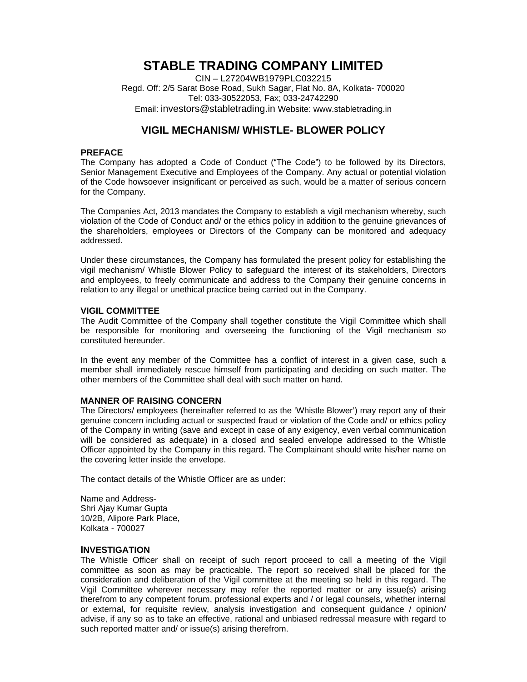# **STABLE TRADING COMPANY LIMITED**

CIN – L27204WB1979PLC032215 Regd. Off: 2/5 Sarat Bose Road, Sukh Sagar, Flat No. 8A, Kolkata- 700020 Tel: 033-30522053, Fax; 033-24742290 Email: investors@stabletrading.in Website: www.stabletrading.in

# **VIGIL MECHANISM/ WHISTLE- BLOWER POLICY**

#### **PREFACE**

The Company has adopted a Code of Conduct ("The Code") to be followed by its Directors, Senior Management Executive and Employees of the Company. Any actual or potential violation of the Code howsoever insignificant or perceived as such, would be a matter of serious concern for the Company.

The Companies Act, 2013 mandates the Company to establish a vigil mechanism whereby, such violation of the Code of Conduct and/ or the ethics policy in addition to the genuine grievances of the shareholders, employees or Directors of the Company can be monitored and adequacy addressed.

Under these circumstances, the Company has formulated the present policy for establishing the vigil mechanism/ Whistle Blower Policy to safeguard the interest of its stakeholders, Directors and employees, to freely communicate and address to the Company their genuine concerns in relation to any illegal or unethical practice being carried out in the Company.

#### **VIGIL COMMITTEE**

The Audit Committee of the Company shall together constitute the Vigil Committee which shall be responsible for monitoring and overseeing the functioning of the Vigil mechanism so constituted hereunder.

In the event any member of the Committee has a conflict of interest in a given case, such a member shall immediately rescue himself from participating and deciding on such matter. The other members of the Committee shall deal with such matter on hand.

## **MANNER OF RAISING CONCERN**

The Directors/ employees (hereinafter referred to as the 'Whistle Blower') may report any of their genuine concern including actual or suspected fraud or violation of the Code and/ or ethics policy of the Company in writing (save and except in case of any exigency, even verbal communication will be considered as adequate) in a closed and sealed envelope addressed to the Whistle Officer appointed by the Company in this regard. The Complainant should write his/her name on the covering letter inside the envelope.

The contact details of the Whistle Officer are as under:

Name and Address-Shri Ajay Kumar Gupta 10/2B, Alipore Park Place, Kolkata - 700027

#### **INVESTIGATION**

The Whistle Officer shall on receipt of such report proceed to call a meeting of the Vigil committee as soon as may be practicable. The report so received shall be placed for the consideration and deliberation of the Vigil committee at the meeting so held in this regard. The Vigil Committee wherever necessary may refer the reported matter or any issue(s) arising therefrom to any competent forum, professional experts and / or legal counsels, whether internal or external, for requisite review, analysis investigation and consequent guidance / opinion/ advise, if any so as to take an effective, rational and unbiased redressal measure with regard to such reported matter and/ or issue(s) arising therefrom.